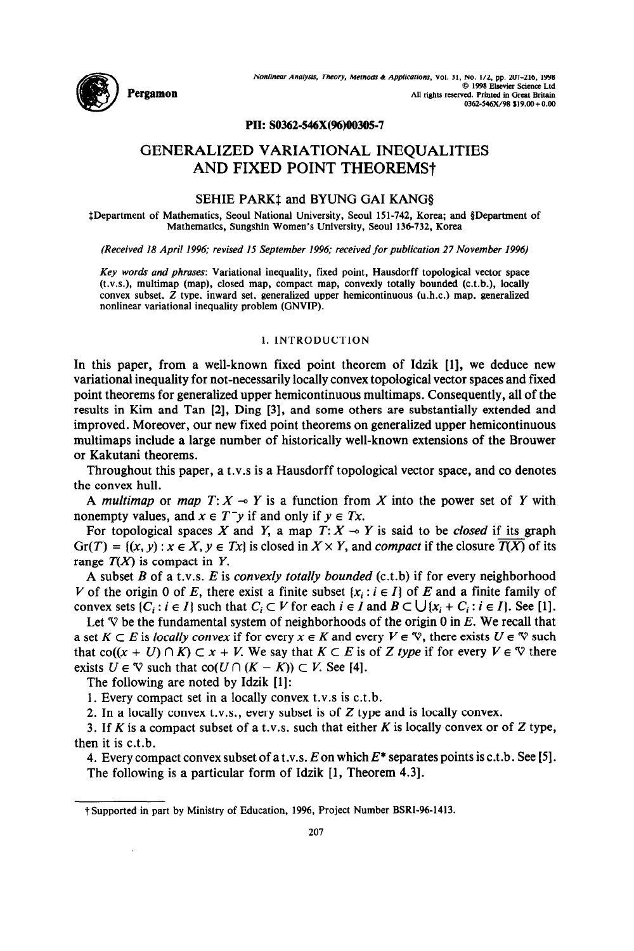

## **PII: SO362-546X(%)00305-7**

# **GENERALIZED VARIATIONAL INEQUALITIES AND FIXED POINT THEOREMS?**

# SEHIE PARK‡ and BYUNG GAI KANG§

SDepartment of Mathematics, Seoul National University, Seoul 151-742, Korea; and SDepartment of Mathematics, Sungshin Women's University, Seoul 136-732, Korea

*(Received 18 April 1996; revised I5 September 1996; received for publication 27 November 1996)* 

Key words and phrases: Variational inequality, fixed point, Hausdorff topological vector space (t.v.s.), multimap (map), closed map, compact map, convexly totally bounded (c.t.b.), locally convex subset, Z type, inward set, generalized upper hemicontinuous (u.h.c.) map, generalized nonlinear variational inequality problem (GNVIP).

## 1. INTRODUCTION

In this paper, from a well-known fixed point theorem of Idzik [l], we deduce new variational inequality for not-necessarily locally convex topological vector spaces and fixed point theorems for generalized upper hemicontinuous multimaps. Consequently, all of the results in Kim and Tan [2], Ding [3], and some others are substantially extended and improved. Moreover, our new fixed point theorems on generalized upper hemicontinuous multimaps include a large number of historically well-known extensions of the Brouwer or Kakutani theorems.

Throughout this paper, a t.v.s is a Hausdorff topological vector space, and co denotes the convex hull.

A *multimap* or *map*  $T: X \rightarrow Y$  is a function from X into the power set of Y with nonempty values, and  $x \in T^{-}y$  if and only if  $y \in Tx$ .

For topological spaces X and Y, a map  $T: X \rightarrow Y$  is said to be *closed* if its graph  $Gr(T) = \{(x, y) : x \in X, y \in Tx\}$  is closed in  $X \times Y$ , and *compact* if the closure  $\overline{T(X)}$  of its range  $T(X)$  is compact in Y.

A subset *B* of a t.v.s. *E* is convexly *totally bounded* (c.t.b) if for every neighborhood V of the origin 0 of E, there exist a finite subset  $\{x_i : i \in I\}$  of E and a finite family of convex sets  $\{C_i : i \in I\}$  such that  $C_i \subset V$  for each  $i \in I$  and  $B \subset \bigcup \{x_i + C_i : i \in I\}$ . See [1].

Let  $\nabla$  be the fundamental system of neighborhoods of the origin 0 in *E*. We recall that a set  $K \subset E$  is *locally convex* if for every  $x \in K$  and every  $V \in \mathcal{V}$ , there exists  $U \in \mathcal{V}$  such that  $co((x + U) \cap K) \subset x + V$ . We say that  $K \subset E$  is of Z type if for every  $V \in \mathcal{V}$  there exists  $U \in \mathcal{V}$  such that  $co(U \cap (K - K)) \subset V$ . See [4].

The following are noted by Idzik [l]:

1. Every compact set in a locally convex t.v.s is c.t.b.

2. In a locally convex t.v.s., every subset is of Z type and is locally convex.

3. If  $K$  is a compact subset of a t.v.s. such that either  $K$  is locally convex or of  $Z$  type, then it is c.t.b.

4. Every compact convex subset of a t.v.s. *Eon* which *E\** separates points is c.t.b. See 151. The following is a particular form of Idzik [1, Theorem 4.3].

t Supported in part by Ministry of Education, 1996, Project Number BSRI-96-1413.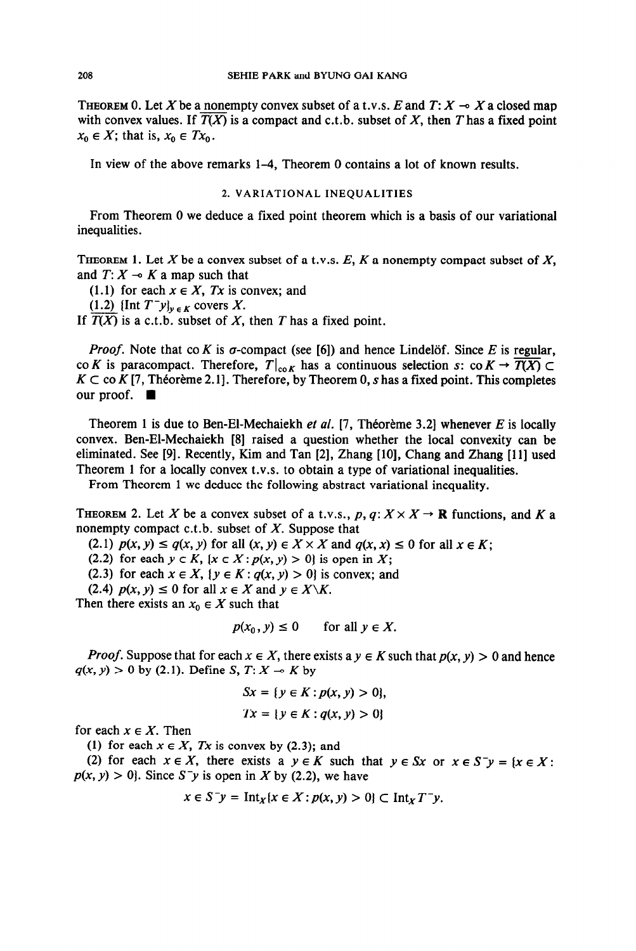**THEOREM 0.** Let X be a nonempty convex subset of a t.v.s. E and  $T: X \rightarrow X$  a closed map with convex values. If  $\overline{T(X)}$  is a compact and c.t.b. subset of X, then T has a fixed point  $x_0 \in X$ ; that is,  $x_0 \in Tx_0$ .

In view of the above remarks 1-4, Theorem 0 contains a lot of known results.

## **2. VARIATIONAL INEQUALITIES**

From Theorem 0 we deduce a fixed point theorem which is a basis of our variational inequalities.

**THEOREM 1.** Let X be a convex subset of a t.v.s.  $E$ ,  $K$  a nonempty compact subset of  $X$ , and  $T: X \rightarrow K$  a map such that

(1.1) for each  $x \in X$ , *Tx* is convex; and

 $(1.2)$  {Int  $T^{-}y$ <sub>y<sub>EK</sub> covers X.</sub>

If  $T(X)$  is a c.t.b. subset of X, then T has a fixed point.

*Proof.* Note that co *K* is  $\sigma$ -compact (see [6]) and hence Lindelöf. Since *E* is regular, co *K* is paracompact. Therefore,  $T|_{\text{co }K}$  has a continuous selection s: co  $K \to \overline{T(X)} \subset$  $K \subset \text{co } K$  [7, Théorème 2.1]. Therefore, by Theorem 0, s has a fixed point. This completes our proof.  $\blacksquare$ 

Theorem 1 is due to Ben-El-Mechaiekh et *al.* [7, Theoreme 3.21 whenever *E* is locally convex. Ben-El-Mechaiekh [8] raised a question whether the local convexity can be eliminated. See [9]. Recently, Kim and Tan [2], Zhang [lo], Chang and Zhang [l l] used Theorem 1 for a locally convex t.v.s. to obtain a type of variational inequalities.

From Theorem 1 we deduce the following abstract variational inequality.

**THEOREM** 2. Let X be a convex subset of a t.v.s., p,  $q: X \times X \rightarrow \mathbb{R}$  functions, and K a nonempty compact c.t.b. subset of  $X$ . Suppose that

(2.1)  $p(x, y) \leq q(x, y)$  for all  $(x, y) \in X \times X$  and  $q(x, x) \leq 0$  for all  $x \in K$ ;

(2.2) for each  $y \in K$ ,  $(x \in X : p(x, y) > 0$  is open in X;

(2.3) for each  $x \in X$ ,  $\{y \in K : q(x, y) > 0\}$  is convex; and

(2.4)  $p(x, y) \le 0$  for all  $x \in X$  and  $y \in X \backslash K$ .

Then there exists an  $x_0 \in X$  such that

$$
p(x_0, y) \le 0 \qquad \text{for all } y \in X.
$$

*Proof.* Suppose that for each  $x \in X$ , there exists a  $y \in K$  such that  $p(x, y) > 0$  and hence  $q(x, y) > 0$  by (2.1). Define S,  $T: X \rightarrow K$  by

$$
Sx = \{ y \in K : p(x, y) > 0 \},
$$
  

$$
Tx = \{ y \in K : q(x, y) > 0 \}
$$

for each  $x \in X$ . Then

(1) for each  $x \in X$ , *Tx* is convex by (2.3); and

(2) for each  $x \in X$ , there exists a  $y \in K$  such that  $y \in Sx$  or  $x \in S^{-}y = \{x \in X:$  $p(x, y) > 0$ . Since S<sup>-</sup>y is open in X by (2.2), we have

$$
x \in S^{-}y = \text{Int}_{X}\{x \in X : p(x, y) > 0\} \subset \text{Int}_{X}T^{-}y.
$$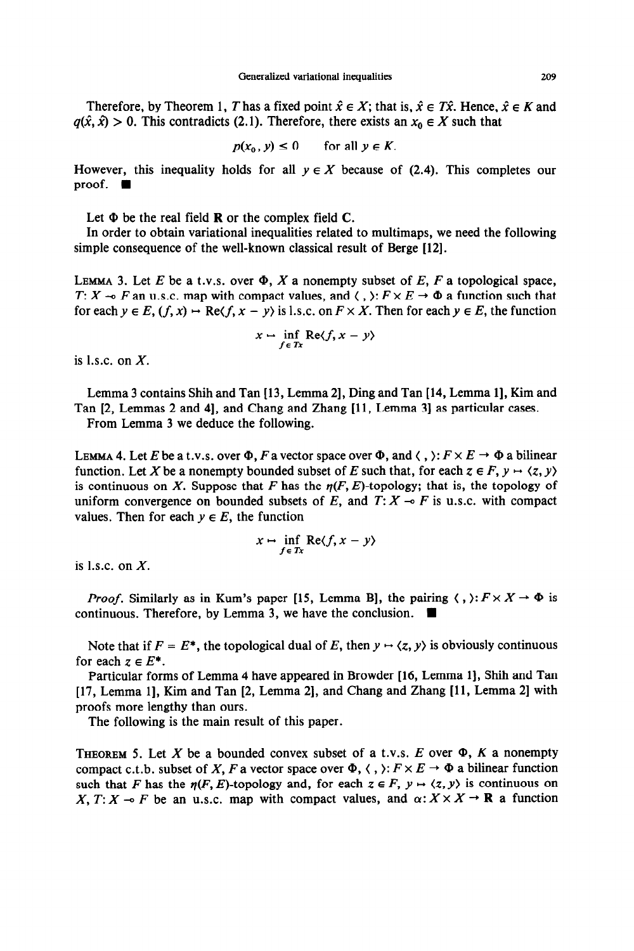Therefore, by Theorem 1, *T* has a fixed point  $\hat{x} \in X$ ; that is,  $\hat{x} \in T\hat{x}$ . Hence,  $\hat{x} \in K$  and  $q(\hat{x}, \hat{x}) > 0$ . This contradicts (2.1). Therefore, there exists an  $x_0 \in X$  such that

$$
p(x_0, y) \le 0 \qquad \text{for all } y \in K.
$$

However, this inequality holds for all  $y \in X$  because of (2.4). This completes our proof.  $\blacksquare$ 

Let  $\Phi$  be the real field **R** or the complex field **C**.

In order to obtain variational inequalities related to multimaps, we need the following simple consequence of the well-known classical result of Berge [12].

LEMMA 3. Let *E* be a t.v.s. over  $\Phi$ , *X* a nonempty subset of *E*, *F* a topological space, T:  $X \rightarrow F$  an u.s.c. map with compact values, and  $\langle , \rangle : F \times E \rightarrow \Phi$  a function such that for each  $y \in E$ ,  $(f, x) \mapsto \text{Re}\langle f, x - y \rangle$  is 1.s.c. on  $F \times X$ . Then for each  $y \in E$ , the function

$$
x \mapsto \inf_{f \in Tx} \text{Re}\langle f, x - y \rangle
$$

is l.s.c. on  $X$ .

Lemma 3 contains Shih and Tan [13, Lemma 2], Ding and Tan [14, Lemma 1], Kim and Tan [2, Lemmas 2 and 41, and Chang and Zhang [ 11, Lemma 31 as particular cases.

From Lemma 3 we deduce the following.

LEMMA 4. Let E be a t.v.s. over  $\Phi$ , F a vector space over  $\Phi$ , and  $\langle , \rangle: F \times E \to \Phi$  a bilinear function. Let X be a nonempty bounded subset of E such that, for each  $z \in F$ ,  $y \mapsto \langle z, y \rangle$ is continuous on X. Suppose that F has the  $\eta(F, E)$ -topology; that is, the topology of uniform convergence on bounded subsets of  $E$ , and  $T: X \rightarrow F$  is u.s.c. with compact values. Then for each  $y \in E$ , the function

$$
x \mapsto \inf_{f \in Tx} \text{Re}\langle f, x - y \rangle
$$

is l.s.c. on  $X$ .

*Proof.* Similarly as in Kum's paper [15, Lemma B], the pairing  $\langle , \rangle : F \times X \to \Phi$  is continuous. Therefore, by Lemma 3, we have the conclusion.

Note that if  $F = E^*$ , the topological dual of E, then  $y \mapsto \langle z, y \rangle$  is obviously continuous for each  $z \in E^*$ .

Particular forms of Lemma 4 have appeared in Browder [16, Lemma 1], Shih and Tan [17, Lemma 11, Kim and Tan [2, Lemma 21, and Chang and Zhang **[l 1,** Lemma 21 with proofs more lengthy than ours.

The following is the main result of this paper.

THEOREM 5. Let X be a bounded convex subset of a t.v.s.  $E$  over  $\Phi$ ,  $K$  a nonempty compact c.t.b. subset of X, F a vector space over  $\Phi$ ,  $\langle$ ,  $\rangle$ :  $F \times E \rightarrow \Phi$  a bilinear function such that *F* has the  $\eta(F, E)$ -topology and, for each  $z \in F$ ,  $y \mapsto \langle z, y \rangle$  is continuous on X,  $T: X \to F$  be an u.s.c. map with compact values, and  $\alpha: X \times X \to \mathbb{R}$  a function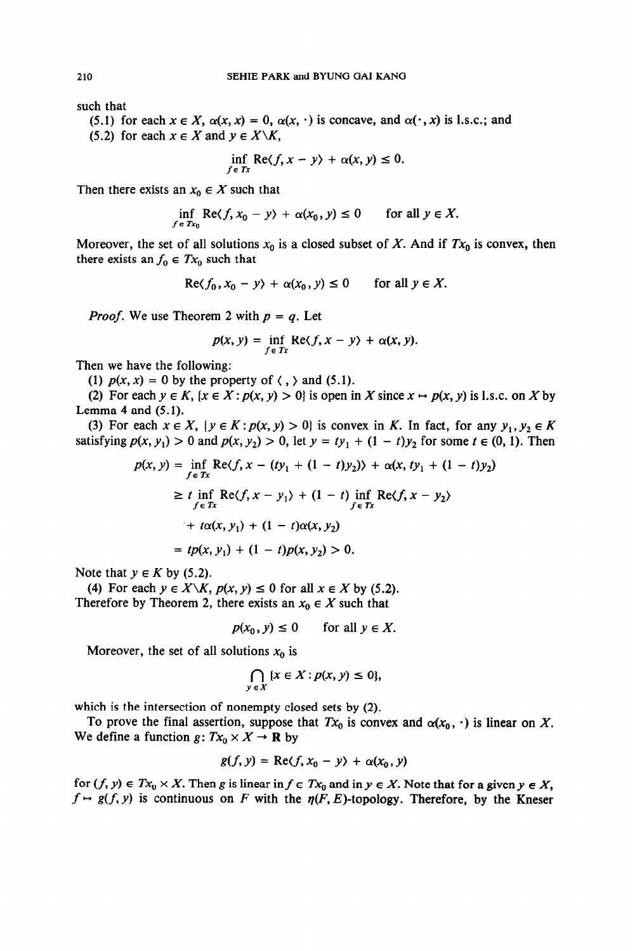such that

(5.1) for each  $x \in X$ ,  $\alpha(x, x) = 0$ ,  $\alpha(x, \cdot)$  is concave, and  $\alpha(\cdot, x)$  is I.s.c.; and (5.2) for each  $x \in X$  and  $y \in X \backslash K$ ,

$$
\inf_{f \in Tx} \text{Re}\langle f, x - y \rangle + \alpha(x, y) \le 0.
$$

Then there exists an  $x_0 \in X$  such that

$$
\inf_{f \in Tx_0} \text{Re}\langle f, x_0 - y \rangle + \alpha(x_0, y) \le 0 \quad \text{for all } y \in X.
$$

Moreover, the set of all solutions  $x_0$  is a closed subset of X. And if  $Tx_0$  is convex, then there exists an  $f_0 \in Tx_0$  such that

$$
\operatorname{Re}\langle f_0, x_0 - y \rangle + \alpha(x_0, y) \le 0 \quad \text{for all } y \in X.
$$

*Proof.* We use Theorem 2 with  $p = q$ . Let

$$
p(x, y) = \inf_{f \in Tx} \text{Re}\langle f, x - y \rangle + \alpha(x, y).
$$

Then we have the following:

(1)  $p(x, x) = 0$  by the property of  $\langle , \rangle$  and (5.1).

(2) For each  $y \in K$ ,  $\{x \in X : p(x, y) > 0\}$  is open in X since  $x \mapsto p(x, y)$  is 1.s.c. on X by Lemma 4 and  $(5.1)$ .

(3) For each  $x \in X$ ,  $\{y \in K : p(x, y) > 0\}$  is convex in *K*. In fact, for any  $y_1, y_2 \in K$ satisfying  $p(x, y_1) > 0$  and  $p(x, y_2) > 0$ , let  $y = ty_1 + (1 - t)y_2$  for some  $t \in (0, 1)$ . Then

$$
p(x, y) = \inf_{f \in Tx} \text{Re}\langle f, x - (ty_1 + (1 - t)y_2) \rangle + \alpha(x, ty_1 + (1 - t)y_2) \rangle
$$
  
\n
$$
\geq t \inf_{f \in Tx} \text{Re}\langle f, x - y_1 \rangle + (1 - t) \inf_{f \in Tx} \text{Re}\langle f, x - y_2 \rangle
$$
  
\n
$$
+ t\alpha(x, y_1) + (1 - t)\alpha(x, y_2) \rangle
$$
  
\n
$$
= tp(x, y_1) + (1 - t)p(x, y_2) > 0.
$$

Note that  $y \in K$  by (5.2).

(4) For each  $y \in X \backslash K$ ,  $p(x, y) \le 0$  for all  $x \in X$  by (5.2). Therefore by Theorem 2, there exists an  $x_0 \in X$  such that

$$
p(x_0, y) \le 0 \qquad \text{for all } y \in X.
$$

Moreover, the set of all solutions  $x_0$  is

$$
\bigcap_{y\,\in X}\,\{x\in X:p(x,y)\leq 0\},
$$

which is the intersection of nonempty closed sets by (2).

To prove the final assertion, suppose that  $Tx_0$  is convex and  $\alpha(x_0, \cdot)$  is linear on X. We define a function  $g: Tx_0 \times X \to \mathbf{R}$  by

$$
g(f, y) = \text{Re}\langle f, x_0 - y \rangle + \alpha(x_0, y)
$$

for  $(f, y) \in Tx_0 \times X$ . Then g is linear in  $f \in Tx_0$  and in  $y \in X$ . Note that for a given  $y \in X$ ,  $f \mapsto g(f, y)$  is continuous on F with the  $\eta(F, E)$ -topology. Therefore, by the Kneser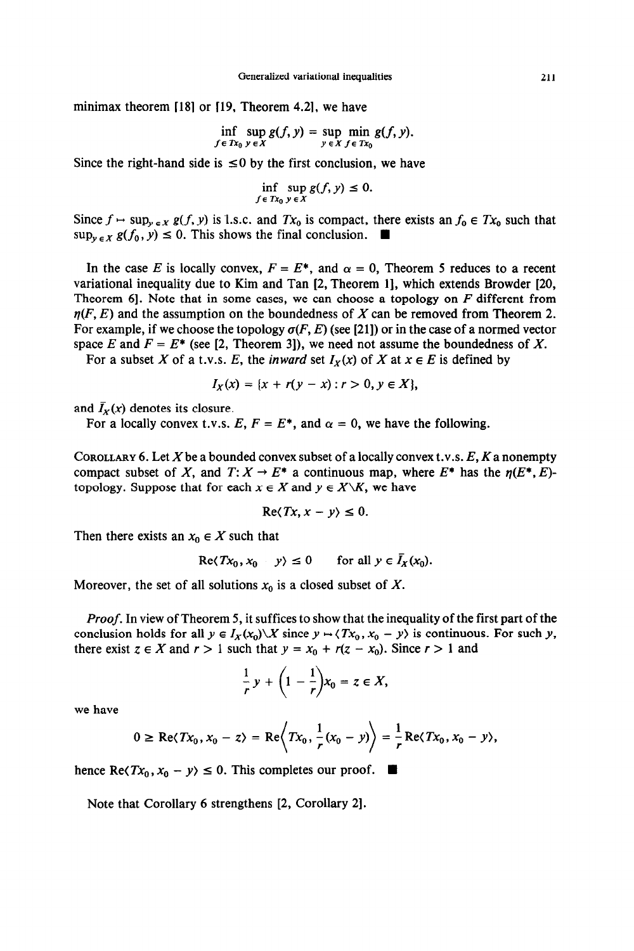minimax theorem  $[18]$  or  $[19,$  Theorem 4.2], we have

$$
\inf_{f \in Tx_0} \sup_{y \in X} g(f, y) = \sup_{y \in X} \min_{f \in Tx_0} g(f, y).
$$

Since the right-hand side is  $\leq 0$  by the first conclusion, we have

$$
\inf_{f \in Tx_0} \sup_{y \in X} g(f, y) \leq 0.
$$

Since  $f \mapsto \sup_{y \in X} g(f, y)$  is 1.s.c. and  $Tx_0$  is compact, there exists an  $f_0 \in Tx_0$  such that  $\sup_{y \in X} g(f_0, y) \leq 0$ . This shows the final conclusion.

In the case *E* is locally convex,  $F = E^*$ , and  $\alpha = 0$ , Theorem 5 reduces to a recent variational inequality due to Kim and Tan [2, Theorem 11, which extends Browder [20, Theorem 61. Note that in some cases, we can choose a topology on *F* different from  $\eta(F, E)$  and the assumption on the boundedness of X can be removed from Theorem 2. For example, if we choose the topology  $\sigma(F, E)$  (see [21]) or in the case of a normed vector space *E* and  $F = E^*$  (see [2, Theorem 3]), we need not assume the boundedness of *X*.

For a subset X of a t.v.s. E, the *inward* set  $I_X(x)$  of X at  $x \in E$  is defined by

$$
I_X(x) = \{x + r(y - x) : r > 0, y \in X\},\
$$

and  $\bar{I}_X(x)$  denotes its closure.

For a locally convex t.v.s.  $E, F = E^*$ , and  $\alpha = 0$ , we have the following.

COROLLARY 6. Let X be a bounded convex subset of a locally convex t.v.s.  $E$ ,  $K$  a nonempty compact subset of X, and  $T: X \to E^*$  a continuous map, where  $E^*$  has the  $\eta(E^*, E)$ topology. Suppose that for each  $x \in X$  and  $y \in X \backslash K$ , we have

$$
\text{Re}\langle Tx, x-y\rangle \leq 0.
$$

Then there exists an  $x_0 \in X$  such that

$$
\operatorname{Re}\langle Tx_0, x_0 - y \rangle \le 0 \quad \text{for all } y \in I_X(x_0).
$$

Moreover, the set of all solutions  $x_0$  is a closed subset of X.

*Proof.* In view of Theorem 5, it suffices to show that the inequality of the first part of the conclusion holds for all  $y \in I_X(x_0) \setminus X$  since  $y \mapsto \langle Tx_0, x_0 - y \rangle$  is continuous. For such y, there exist  $z \in X$  and  $r > 1$  such that  $y = x_0 + r(z - x_0)$ . Since  $r > 1$  and

$$
\frac{1}{r}y+\left(1-\frac{1}{r}\right)x_0=z\in X,
$$

**we** have

$$
0 \ge \operatorname{Re} \langle Tx_0, x_0 - z \rangle = \operatorname{Re} \left\langle Tx_0, \frac{1}{r}(x_0 - y) \right\rangle = \frac{1}{r} \operatorname{Re} \langle Tx_0, x_0 - y \rangle,
$$

hence Re $\langle Tx_0, x_0 - y \rangle \leq 0$ . This completes our proof.  $\blacksquare$ 

Note that Corollary 6 strengthens [2, Corollary 21.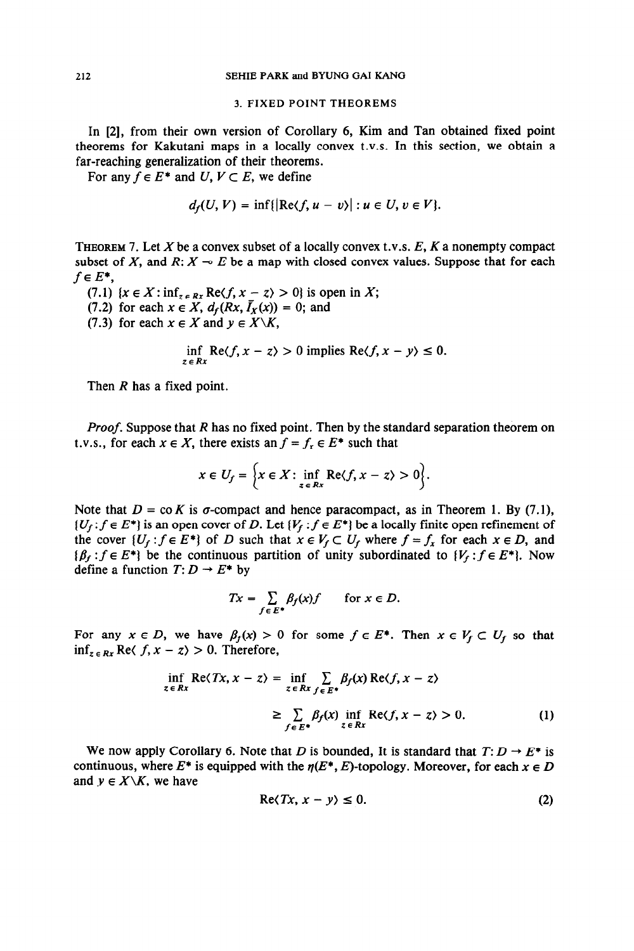#### 3. FIXED POINT THEOREMS

In [2], from their own version of Corollary 6, Kim and Tan obtained fixed point theorems for Kakutani maps in a locally convex t.v.s. In this section, we obtain a far-reaching generalization of their theorems.

For any  $f \in E^*$  and  $U, V \subset E$ , we define

$$
d_f(U, V) = \inf\{|\text{Re}\langle f, u - v\rangle| : u \in U, v \in V\}.
$$

**THEOREM 7.** Let X be a convex subset of a locally convex t.v.s. *E, K* a nonempty compact subset of X, and  $R: X \to E$  be a map with closed convex values. Suppose that for each  $f \in E^*$ ,

(7.1)  $\{x \in X : \inf_{z \in Rx} \text{Re}\langle f, x - z \rangle > 0\}$  is open in X;

(7.2) for each  $x \in X$ ,  $d_f(Rx, \overline{I}_X(x)) = 0$ ; and

(7.3) for each  $x \in X$  and  $y \in X\backslash K$ ,

$$
\inf_{z \in Rx} \text{Re}\langle f, x - z \rangle > 0 \text{ implies } \text{Re}\langle f, x - y \rangle \le 0.
$$

Then *R* has a fixed point.

Proof. Suppose that *R* has no fixed point. Then by the standard separation theorem on t.v.s., for each  $x \in X$ , there exists an  $f = f_x \in E^*$  such that

$$
x \in U_f = \Big\{ x \in X \colon \inf_{z \in Rx} \text{Re} \langle f, x - z \rangle > 0 \Big\}.
$$

Note that  $D = \text{co } K$  is  $\sigma$ -compact and hence paracompact, as in Theorem 1. By (7.1),  $\{U_f: f \in E^*\}$  is an open cover of D. Let  $\{V_f: f \in E^*\}$  be a locally finite open refinement of the cover  $\{U_f: f \in E^*\}$  of D such that  $x \in V_f \subset U_f$  where  $f = f_x$  for each  $x \in D$ , and  $\{\beta_f : f \in E^*\}\)$  be the continuous partition of unity subordinated to  $\{V_f : f \in E^*\}\)$ . Now define a function  $T: D \rightarrow E^*$  by

$$
Tx = \sum_{f \in E^*} \beta_f(x) f \quad \text{for } x \in D.
$$

For any  $x \in D$ , we have  $\beta_f(x) > 0$  for some  $f \in E^*$ . Then  $x \in V_f \subset U_f$  so that  $\inf_{z \in Rx}$  Re $\langle f, x - z \rangle > 0$ . Therefore,

$$
\inf_{z \in Rx} \text{Re}\langle Tx, x - z \rangle = \inf_{z \in Rx} \sum_{f \in E^*} \beta_f(x) \text{Re}\langle f, x - z \rangle
$$
  
 
$$
\geq \sum_{f \in E^*} \beta_f(x) \inf_{z \in Rx} \text{Re}\langle f, x - z \rangle > 0. \tag{1}
$$

We now apply Corollary 6. Note that *D* is bounded, It is standard that  $T: D \rightarrow E^*$  is continuous, where  $E^*$  is equipped with the  $\eta(E^*, E)$ -topology. Moreover, for each  $x \in D$ and  $y \in X \backslash K$ , we have

$$
\operatorname{Re}\langle Tx, x - y \rangle \leq 0. \tag{2}
$$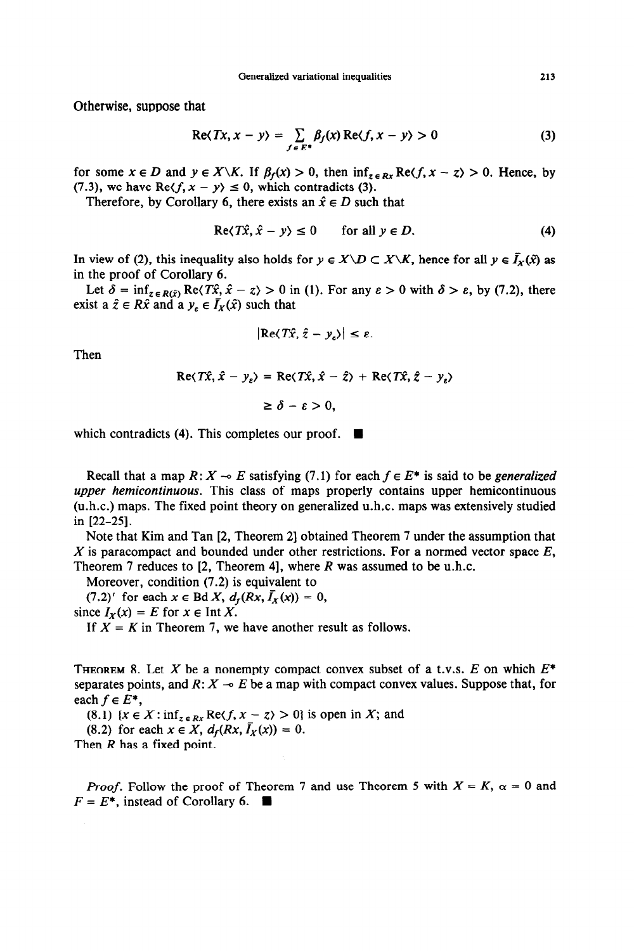Otherwise, suppose that

$$
\operatorname{Re}\langle Tx, x - y \rangle = \sum_{f \in E^*} \beta_f(x) \operatorname{Re}\langle f, x - y \rangle > 0 \tag{3}
$$

for some  $x \in D$  and  $y \in X \backslash K$ . If  $\beta_f(x) > 0$ , then  $\inf_{z \in R_X} \text{Re}\langle f, x - z \rangle > 0$ . Hence, by (7.3), we have Re $\langle f, x - y \rangle \leq 0$ , which contradicts (3).

Therefore, by Corollary 6, there exists an  $\hat{x} \in D$  such that

$$
\operatorname{Re}\langle T\hat{x}, \hat{x} - y \rangle \le 0 \qquad \text{for all } y \in D. \tag{4}
$$

In view of (2), this inequality also holds for  $y \in X \setminus D \subset X \setminus K$ , hence for all  $y \in \overline{I}_X(\tilde{x})$  as in the proof of Corollary 6.

Let  $\delta = \inf_{z \in R(\hat{x})} \text{Re}\langle T\hat{x}, \hat{x} - z \rangle > 0$  in (1). For any  $\varepsilon > 0$  with  $\delta > \varepsilon$ , by (7.2), there exist a  $\hat{z} \in R\hat{x}$  and a  $y_{\varepsilon} \in \overline{I}_X(\hat{x})$  such that

$$
|\text{Re}\langle T\hat{x},\hat{z}-y_{\varepsilon}\rangle|\leq\varepsilon.
$$

Then

$$
Re\langle T\hat{x}, \hat{x} - y_{\varepsilon}\rangle = Re\langle T\hat{x}, \hat{x} - \hat{z}\rangle + Re\langle T\hat{x}, \hat{z} - y_{\varepsilon}\rangle
$$

$$
\geq \delta - \varepsilon > 0,
$$

which contradicts (4). This completes our proof.  $\blacksquare$ 

Recall that a map  $R: X \to E$  satisfying (7.1) for each  $f \in E^*$  is said to be *generalized upper hemicontinuous.* This class of maps properly contains upper hemicontinuous (u.h.c.) maps. The fixed point theory on generalized u.h.c. maps was extensively studied in [22-251.

Note that Kim and Tan [2, Theorem 21 obtained Theorem 7 under the assumption that X is paracompact and bounded under other restrictions. For a normed vector space *E,*  Theorem 7 reduces to [2, Theorem 41, where *R* was assumed to be u.h.c.

Moreover, condition (7.2) is equivalent to

 $(7.2)'$  for each  $x \in BdX$ ,  $d_f(Rx, \bar{I}_X(x)) = 0$ ,

since  $I_X(x) = E$  for  $x \in \text{Int } X$ .

If  $X = K$  in Theorem 7, we have another result as follows.

**THEOREM 8.** Let X be a nonempty compact convex subset of a t.v.s.  $E$  on which  $E^*$ separates points, and  $R: X \to E$  be a map with compact convex values. Suppose that, for each  $f \in E^*$ ,

(8.1)  $\{x \in X : \inf_{z \in Rx} \text{Re}(f, x - z) > 0\}$  is open in X; and

(8.2) for each  $x \in X$ ,  $d_f(Rx, \bar{I}_X(x)) = 0$ .

Then *R* has a fixed point.

*Proof.* Follow the proof of Theorem 7 and use Theorem 5 with  $X = K$ ,  $\alpha = 0$  and  $F = E^*$ , instead of Corollary 6.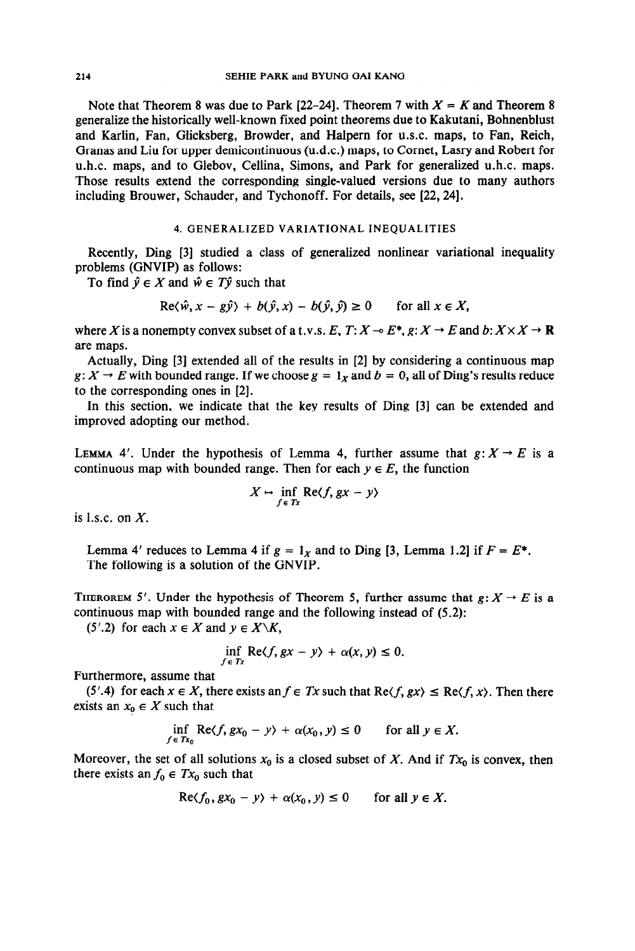Note that Theorem 8 was due to Park  $[22-24]$ . Theorem 7 with  $X = K$  and Theorem 8 generalize the historically well-known fixed point theorems due to Kakutani, Bohnenblust and Karlin, Fan, Glicksberg, Browder, and Halpern for U.S.C. maps, to Fan, Reich, Granas and Liu for upper demicontinuous (u.d.c.) maps, to Cornet, Lasry and Robert for u.h.c. maps, and to Glebov, Cellina, Simons, and Park for generalized u.h.c. maps. Those results extend the corresponding single-valued versions due to many authors including Brouwer, Schauder, and Tychonoff. For details, see [22,24].

# 4. GENERALIZED VARIATIONAL INEQUALITIES

Recently, Ding [3] studied a class of generalized nonlinear variational inequality problems (GNVIP) as follows:

To find  $\hat{y} \in X$  and  $\hat{w} \in T\hat{y}$  such that

$$
\text{Re}\langle \hat{w}, x - g\hat{y} \rangle + b(\hat{y}, x) - b(\hat{y}, \hat{y}) \ge 0 \quad \text{for all } x \in X,
$$

where X is a nonempty convex subset of a t.v.s. *E*,  $T: X \to E^*$ ,  $g: X \to E$  and  $b: X \times X \to \mathbb{R}$ are maps.

Actually, Ding [3] extended all of the results in [2] by considering a continuous map  $g: X \to E$  with bounded range. If we choose  $g = 1_x$  and  $b = 0$ , all of Ding's results reduce to the corresponding ones in [2].

In this section, we indicate that the key results of Ding [3] can be extended and improved adopting our method.

LEMMA 4'. Under the hypothesis of Lemma 4, further assume that  $g: X \rightarrow E$  is a continuous map with bounded range. Then for each  $y \in E$ , the function

$$
X \mapsto \inf_{f \in Tx} \text{Re}\langle f, gx - y \rangle
$$

is l.s.c. on  $X$ .

Lemma 4' reduces to Lemma 4 if  $g = 1<sub>X</sub>$  and to Ding [3, Lemma 1.2] if  $F = E^*$ . The following is a solution of the GNVIP.

THEROREM 5'. Under the hypothesis of Theorem 5, further assume that  $g: X \to E$  is a continuous map with bounded range and the following instead of (5.2):

(5'.2) for each  $x \in X$  and  $y \in X \backslash K$ ,

$$
\inf_{f \in Tx} \text{Re}\langle f, gx - y \rangle + \alpha(x, y) \le 0.
$$

Furthermore, assume that

(5'.4) for each  $x \in X$ , there exists an  $f \in Tx$  such that  $\text{Re}\langle f, gx \rangle \leq \text{Re}\langle f, x \rangle$ . Then there exists an  $x_0 \in X$  such that

$$
\inf_{f \in Tx_0} \text{Re}\langle f, gx_0 - y \rangle + \alpha(x_0, y) \le 0 \quad \text{for all } y \in X.
$$

Moreover, the set of all solutions  $x_0$  is a closed subset of X. And if  $Tx_0$  is convex, then there exists an  $f_0 \in Tx_0$  such that

$$
\operatorname{Re}\langle f_0, gx_0 - y \rangle + \alpha(x_0, y) \le 0 \quad \text{for all } y \in X.
$$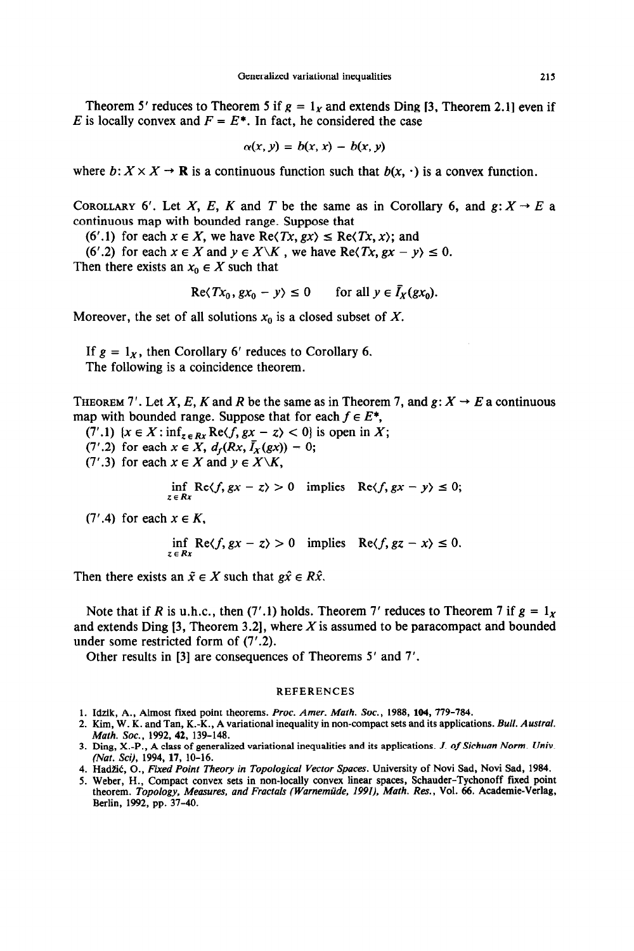Theorem 5' reduces to Theorem 5 if  $g = 1<sub>x</sub>$  and extends Ding [3, Theorem 2.1] even if *E* is locally convex and  $F = E^*$ . In fact, he considered the case

$$
\alpha(x, y) = b(x, x) - b(x, y)
$$

where  $b: X \times X \to \mathbf{R}$  is a continuous function such that  $b(x, \cdot)$  is a convex function.

COROLLARY 6'. Let X, E, K and T be the same as in Corollary 6, and  $g: X \rightarrow E$  a continuous map with bounded range. Suppose that

(6'.1) for each  $x \in X$ , we have  $\text{Re}\langle Tx, gx \rangle \leq \text{Re}\langle Tx, x \rangle$ ; and

(6'.2) for each  $x \in X$  and  $y \in X \backslash K$ , we have Re(Tx,  $gx - y$ )  $\leq 0$ . Then there exists an  $x_0 \in X$  such that

$$
\operatorname{Re}\langle Tx_0, gx_0 - y \rangle \le 0 \qquad \text{for all } y \in I_X(gx_0).
$$

Moreover, the set of all solutions  $x_0$  is a closed subset of X.

If  $g = 1_X$ , then Corollary 6' reduces to Corollary 6. The following is a coincidence theorem.

**THEOREM 7'.** Let X, E, K and R be the same as in Theorem 7, and  $g: X \rightarrow E$  a continuous map with bounded range. Suppose that for each  $f \in E^*$ ,

 $(7'.1)$   $\{x \in X : \inf_{z \in Rx} \text{Re}\langle f, gx - z \rangle < 0\}$  is open in X;

(7'.2) for each  $x \in X$ ,  $d_f(Rx, \bar{I}_X(gx)) = 0$ ;

(7'.3) for each  $x \in X$  and  $y \in X\backslash K$ ,

inf Re $\langle f, gx - z \rangle > 0$  implies Re $\langle f, gx - y \rangle \le 0$ ; *ZERX* 

(7'.4) for each x E *K,* 

$$
\inf_{z \in Rx} \text{Re}\langle f, gx - z \rangle > 0 \quad \text{implies} \quad \text{Re}\langle f, gz - x \rangle \le 0.
$$

Then there exists an  $\tilde{x} \in X$  such that  $g\hat{x} \in R\hat{x}$ .

Note that if *R* is u.h.c., then (7'.1) holds. Theorem 7' reduces to Theorem 7 if  $g = 1_x$ and extends Ding  $[3,$  Theorem 3.2], where X is assumed to be paracompact and bounded under some restricted form of (7'.2).

Other results in [3] are consequences of Theorems 5' and 7'.

#### **REFERENCES**

- 1. Idzik, A., Almost fixed point theorems. *Proc. Amer. Math. Soc.*, 1988, 104, 779-784.
- **2. Kim, W. K. and Tan, K.-K., A variational inequality in non-compact sets and its applications.** *Bull. Austral. Math. Sot., 1992, 42, 139-148.*
- 3. Ding, X.-P., A class of generalized variational inequalities and its applications. J. of Sichuan Norm. Univ. *(Nat. Sci), 1994, 17, 10-16.*
- 4. Hadžić, O., *Fixed Point Theory in Topological Vector Spaces*. University of Novi Sad, Novi Sad, 1984.
- **5. Weber, H., Compact convex sets in non-locally convex linear spaces, Schauder-Tychonoff fixed point theorem.** *Topology, Measures, and Fractals (Warnemiide, 1991), Math. Res.,* **Vol. 66. Academic-Verlag, Berlin, 1992, pp. 37-40.**